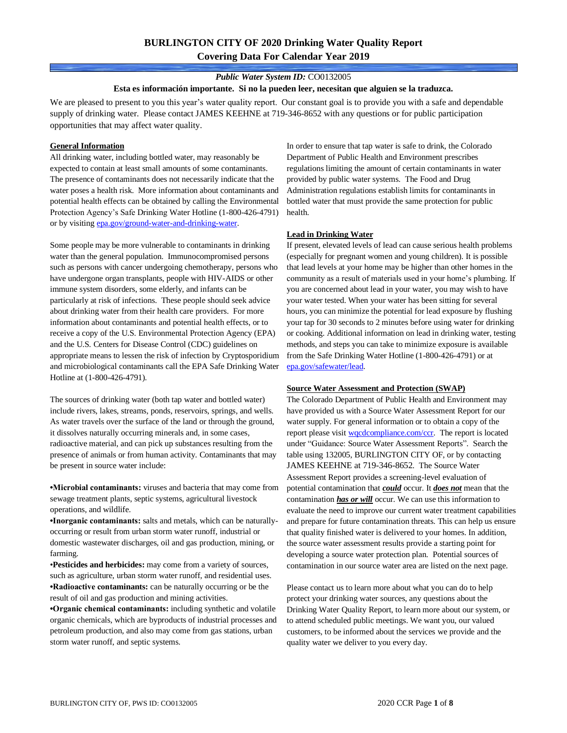## *Public Water System ID:* CO0132005

#### **Esta es información importante. Si no la pueden leer, necesitan que alguien se la traduzca.**

We are pleased to present to you this year's water quality report. Our constant goal is to provide you with a safe and dependable supply of drinking water. Please contact JAMES KEEHNE at 719-346-8652 with any questions or for public participation opportunities that may affect water quality.

#### **General Information**

All drinking water, including bottled water, may reasonably be expected to contain at least small amounts of some contaminants. The presence of contaminants does not necessarily indicate that the water poses a health risk. More information about contaminants and potential health effects can be obtained by calling the Environmental Protection Agency's Safe Drinking Water Hotline (1-800-426-4791) or by visiting [epa.gov/ground-water-and-drinking-water.](https://www.epa.gov/ground-water-and-drinking-water)

Some people may be more vulnerable to contaminants in drinking water than the general population. Immunocompromised persons such as persons with cancer undergoing chemotherapy, persons who have undergone organ transplants, people with HIV-AIDS or other immune system disorders, some elderly, and infants can be particularly at risk of infections. These people should seek advice about drinking water from their health care providers. For more information about contaminants and potential health effects, or to receive a copy of the U.S. Environmental Protection Agency (EPA) and the U.S. Centers for Disease Control (CDC) guidelines on appropriate means to lessen the risk of infection by Cryptosporidium and microbiological contaminants call the EPA Safe Drinking Water Hotline at (1-800-426-4791).

The sources of drinking water (both tap water and bottled water) include rivers, lakes, streams, ponds, reservoirs, springs, and wells. As water travels over the surface of the land or through the ground, it dissolves naturally occurring minerals and, in some cases, radioactive material, and can pick up substances resulting from the presence of animals or from human activity. Contaminants that may be present in source water include:

**•Microbial contaminants:** viruses and bacteria that may come from sewage treatment plants, septic systems, agricultural livestock operations, and wildlife.

**•Inorganic contaminants:** salts and metals, which can be naturallyoccurring or result from urban storm water runoff, industrial or domestic wastewater discharges, oil and gas production, mining, or farming.

•**Pesticides and herbicides:** may come from a variety of sources, such as agriculture, urban storm water runoff, and residential uses. **•Radioactive contaminants:** can be naturally occurring or be the result of oil and gas production and mining activities.

**•Organic chemical contaminants:** including synthetic and volatile organic chemicals, which are byproducts of industrial processes and petroleum production, and also may come from gas stations, urban storm water runoff, and septic systems.

In order to ensure that tap water is safe to drink, the Colorado Department of Public Health and Environment prescribes regulations limiting the amount of certain contaminants in water provided by public water systems. The Food and Drug Administration regulations establish limits for contaminants in bottled water that must provide the same protection for public health.

#### **Lead in Drinking Water**

If present, elevated levels of lead can cause serious health problems (especially for pregnant women and young children). It is possible that lead levels at your home may be higher than other homes in the community as a result of materials used in your home's plumbing. If you are concerned about lead in your water, you may wish to have your water tested. When your water has been sitting for several hours, you can minimize the potential for lead exposure by flushing your tap for 30 seconds to 2 minutes before using water for drinking or cooking. Additional information on lead in drinking water, testing methods, and steps you can take to minimize exposure is available from the Safe Drinking Water Hotline (1-800-426-4791) or at [epa.gov/safewater/lead.](http://www.epa.gov/safewater/lead) 

#### **Source Water Assessment and Protection (SWAP)**

The Colorado Department of Public Health and Environment may have provided us with a Source Water Assessment Report for our water supply. For general information or to obtain a copy of the report please visit [wqcdcompliance.com/ccr.](https://wqcdcompliance.com/ccr) The report is located under "Guidance: Source Water Assessment Reports". Search the table using 132005, BURLINGTON CITY OF, or by contacting JAMES KEEHNE at 719-346-8652. The Source Water Assessment Report provides a screening-level evaluation of potential contamination that *could* occur. It *does not* mean that the contamination *has or will* occur. We can use this information to evaluate the need to improve our current water treatment capabilities and prepare for future contamination threats. This can help us ensure that quality finished water is delivered to your homes. In addition, the source water assessment results provide a starting point for developing a source water protection plan. Potential sources of contamination in our source water area are listed on the next page.

Please contact us to learn more about what you can do to help protect your drinking water sources, any questions about the Drinking Water Quality Report, to learn more about our system, or to attend scheduled public meetings. We want you, our valued customers, to be informed about the services we provide and the quality water we deliver to you every day.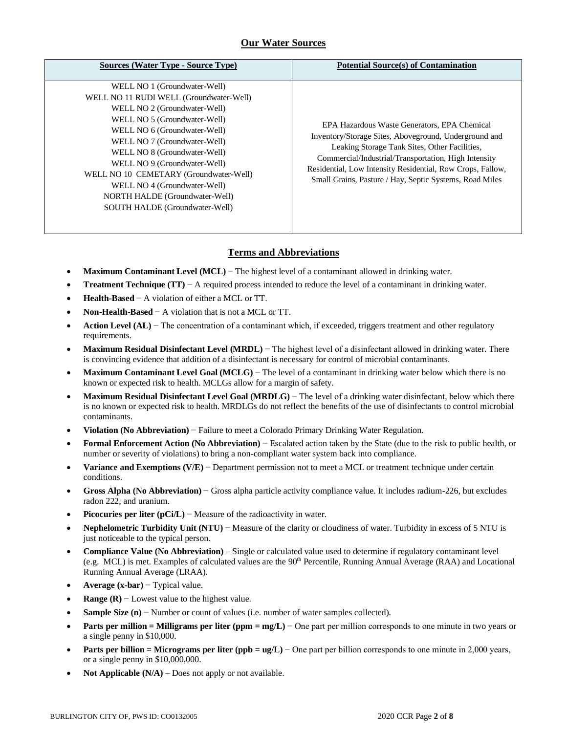## **Our Water Sources**

| <b>Sources (Water Type - Source Type)</b>                                                                                                                                                                                                                                                                                                                                                                             | <b>Potential Source(s) of Contamination</b>                                                                                                                                                                                                                                                                                             |
|-----------------------------------------------------------------------------------------------------------------------------------------------------------------------------------------------------------------------------------------------------------------------------------------------------------------------------------------------------------------------------------------------------------------------|-----------------------------------------------------------------------------------------------------------------------------------------------------------------------------------------------------------------------------------------------------------------------------------------------------------------------------------------|
| WELL NO 1 (Groundwater-Well)<br>WELL NO 11 RUDI WELL (Groundwater-Well)<br>WELL NO 2 (Groundwater-Well)<br>WELL NO 5 (Groundwater-Well)<br>WELL NO 6 (Groundwater-Well)<br>WELL NO 7 (Groundwater-Well)<br>WELL NO 8 (Groundwater-Well)<br>WELL NO 9 (Groundwater-Well)<br>WELL NO 10 CEMETARY (Groundwater-Well)<br>WELL NO 4 (Groundwater-Well)<br>NORTH HALDE (Groundwater-Well)<br>SOUTH HALDE (Groundwater-Well) | EPA Hazardous Waste Generators, EPA Chemical<br>Inventory/Storage Sites, Aboveground, Underground and<br>Leaking Storage Tank Sites, Other Facilities,<br>Commercial/Industrial/Transportation, High Intensity<br>Residential, Low Intensity Residential, Row Crops, Fallow,<br>Small Grains, Pasture / Hay, Septic Systems, Road Miles |

## **Terms and Abbreviations**

- **Maximum Contaminant Level (MCL)** − The highest level of a contaminant allowed in drinking water.
- **Treatment Technique (TT)** − A required process intended to reduce the level of a contaminant in drinking water.
- **Health-Based** − A violation of either a MCL or TT.
- **Non-Health-Based** − A violation that is not a MCL or TT.
- **Action Level (AL)** − The concentration of a contaminant which, if exceeded, triggers treatment and other regulatory requirements.
- **Maximum Residual Disinfectant Level (MRDL)** − The highest level of a disinfectant allowed in drinking water. There is convincing evidence that addition of a disinfectant is necessary for control of microbial contaminants.
- **Maximum Contaminant Level Goal (MCLG)** − The level of a contaminant in drinking water below which there is no known or expected risk to health. MCLGs allow for a margin of safety.
- **Maximum Residual Disinfectant Level Goal (MRDLG)** − The level of a drinking water disinfectant, below which there is no known or expected risk to health. MRDLGs do not reflect the benefits of the use of disinfectants to control microbial contaminants.
- **Violation (No Abbreviation)** − Failure to meet a Colorado Primary Drinking Water Regulation.
- **Formal Enforcement Action (No Abbreviation)** − Escalated action taken by the State (due to the risk to public health, or number or severity of violations) to bring a non-compliant water system back into compliance.
- **Variance and Exemptions (V/E)** − Department permission not to meet a MCL or treatment technique under certain conditions.
- **Gross Alpha (No Abbreviation)** − Gross alpha particle activity compliance value. It includes radium-226, but excludes radon 222, and uranium.
- **Picocuries per liter (pCi/L)** − Measure of the radioactivity in water.
- **Nephelometric Turbidity Unit (NTU)** − Measure of the clarity or cloudiness of water. Turbidity in excess of 5 NTU is just noticeable to the typical person.
- **Compliance Value (No Abbreviation)** Single or calculated value used to determine if regulatory contaminant level (e.g. MCL) is met. Examples of calculated values are the  $90<sup>th</sup>$  Percentile, Running Annual Average (RAA) and Locational Running Annual Average (LRAA).
- **Average (x-bar)** − Typical value.
- **Range (R)**  $-$  Lowest value to the highest value.
- **Sample Size (n)** − Number or count of values (i.e. number of water samples collected).
- **Parts per million = Milligrams per liter (ppm = mg/L)** − One part per million corresponds to one minute in two years or a single penny in \$10,000.
- **Parts per billion = Micrograms per liter (ppb = ug/L)** − One part per billion corresponds to one minute in 2,000 years, or a single penny in \$10,000,000.
- **Not Applicable (N/A)** Does not apply or not available.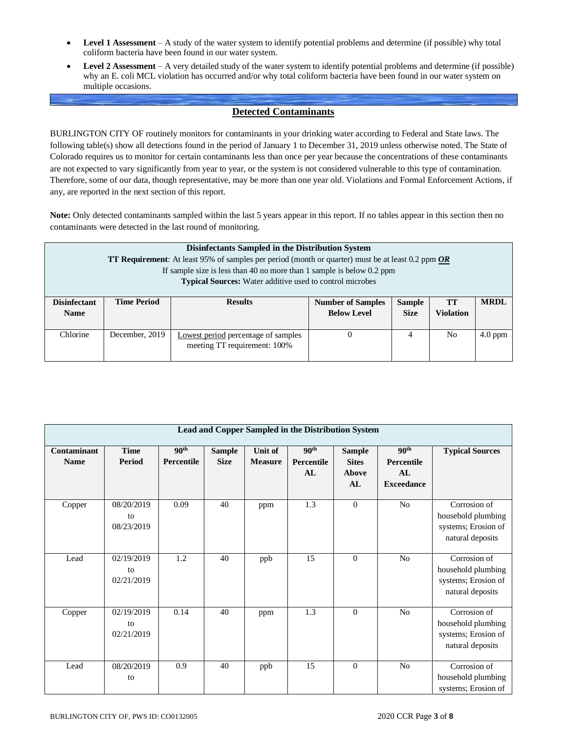- **Level 1 Assessment** A study of the water system to identify potential problems and determine (if possible) why total coliform bacteria have been found in our water system.
- **Level 2 Assessment** A very detailed study of the water system to identify potential problems and determine (if possible) why an E. coli MCL violation has occurred and/or why total coliform bacteria have been found in our water system on multiple occasions.

## **Detected Contaminants**

BURLINGTON CITY OF routinely monitors for contaminants in your drinking water according to Federal and State laws. The following table(s) show all detections found in the period of January 1 to December 31, 2019 unless otherwise noted. The State of Colorado requires us to monitor for certain contaminants less than once per year because the concentrations of these contaminants are not expected to vary significantly from year to year, or the system is not considered vulnerable to this type of contamination. Therefore, some of our data, though representative, may be more than one year old. Violations and Formal Enforcement Actions, if any, are reported in the next section of this report.

**Note:** Only detected contaminants sampled within the last 5 years appear in this report. If no tables appear in this section then no contaminants were detected in the last round of monitoring.

|                                    | Disinfectants Sampled in the Distribution System<br><b>TT Requirement:</b> At least 95% of samples per period (month or quarter) must be at least 0.2 ppm <i>OR</i><br>If sample size is less than 40 no more than 1 sample is below $0.2$ ppm<br><b>Typical Sources:</b> Water additive used to control microbes |                                                                     |                                                |                              |                        |             |  |  |  |  |
|------------------------------------|-------------------------------------------------------------------------------------------------------------------------------------------------------------------------------------------------------------------------------------------------------------------------------------------------------------------|---------------------------------------------------------------------|------------------------------------------------|------------------------------|------------------------|-------------|--|--|--|--|
| <b>Disinfectant</b><br><b>Name</b> | <b>Time Period</b>                                                                                                                                                                                                                                                                                                | <b>Results</b>                                                      | <b>Number of Samples</b><br><b>Below Level</b> | <b>Sample</b><br><b>Size</b> | TT<br><b>Violation</b> | <b>MRDL</b> |  |  |  |  |
| Chlorine                           | December, 2019                                                                                                                                                                                                                                                                                                    | Lowest period percentage of samples<br>meeting TT requirement: 100% |                                                | 4                            | No.                    | $4.0$ ppm   |  |  |  |  |

| Lead and Copper Sampled in the Distribution System |                                |                                |                              |                                  |                                      |                                              |                                                           |                                                                               |  |  |  |  |
|----------------------------------------------------|--------------------------------|--------------------------------|------------------------------|----------------------------------|--------------------------------------|----------------------------------------------|-----------------------------------------------------------|-------------------------------------------------------------------------------|--|--|--|--|
| Contaminant<br><b>Name</b>                         | <b>Time</b><br>Period          | 90 <sup>th</sup><br>Percentile | <b>Sample</b><br><b>Size</b> | <b>Unit of</b><br><b>Measure</b> | 90 <sup>th</sup><br>Percentile<br>AL | <b>Sample</b><br><b>Sites</b><br>Above<br>AL | 90 <sup>th</sup><br>Percentile<br>AL<br><b>Exceedance</b> | <b>Typical Sources</b>                                                        |  |  |  |  |
| Copper                                             | 08/20/2019<br>to<br>08/23/2019 | 0.09                           | 40                           | ppm                              | 1.3                                  | $\theta$                                     | No                                                        | Corrosion of<br>household plumbing<br>systems; Erosion of<br>natural deposits |  |  |  |  |
| Lead                                               | 02/19/2019<br>to<br>02/21/2019 | 1.2                            | 40                           | ppb                              | 15                                   | $\theta$                                     | No                                                        | Corrosion of<br>household plumbing<br>systems; Erosion of<br>natural deposits |  |  |  |  |
| Copper                                             | 02/19/2019<br>to<br>02/21/2019 | 0.14                           | 40                           | ppm                              | 1.3                                  | $\overline{0}$                               | No                                                        | Corrosion of<br>household plumbing<br>systems; Erosion of<br>natural deposits |  |  |  |  |
| Lead                                               | 08/20/2019<br>to               | 0.9                            | 40                           | ppb                              | 15                                   | $\theta$                                     | $\rm No$                                                  | Corrosion of<br>household plumbing<br>systems; Erosion of                     |  |  |  |  |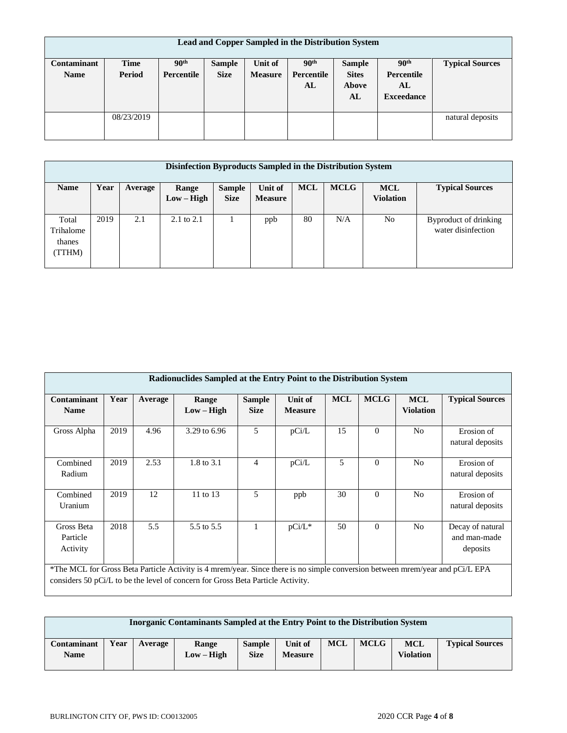| Lead and Copper Sampled in the Distribution System |                       |                                |                              |                           |                                             |                                              |                                                           |                        |  |  |
|----------------------------------------------------|-----------------------|--------------------------------|------------------------------|---------------------------|---------------------------------------------|----------------------------------------------|-----------------------------------------------------------|------------------------|--|--|
| <b>Contaminant</b><br><b>Name</b>                  | <b>Time</b><br>Period | 90 <sup>th</sup><br>Percentile | <b>Sample</b><br><b>Size</b> | Unit of<br><b>Measure</b> | 90 <sup>th</sup><br><b>Percentile</b><br>AL | <b>Sample</b><br><b>Sites</b><br>Above<br>AL | 90 <sup>th</sup><br>Percentile<br>AL<br><b>Exceedance</b> | <b>Typical Sources</b> |  |  |
|                                                    | 08/23/2019            |                                |                              |                           |                                             |                                              |                                                           | natural deposits       |  |  |

|                                        | Disinfection Byproducts Sampled in the Distribution System |         |                       |                              |                                  |            |             |                                |                                             |  |  |  |
|----------------------------------------|------------------------------------------------------------|---------|-----------------------|------------------------------|----------------------------------|------------|-------------|--------------------------------|---------------------------------------------|--|--|--|
| <b>Name</b>                            | Year                                                       | Average | Range<br>$Low - High$ | <b>Sample</b><br><b>Size</b> | <b>Unit of</b><br><b>Measure</b> | <b>MCL</b> | <b>MCLG</b> | <b>MCL</b><br><b>Violation</b> | <b>Typical Sources</b>                      |  |  |  |
| Total<br>Trihalome<br>thanes<br>(TTHM) | 2019                                                       | 2.1     | $2.1 \text{ to } 2.1$ |                              | ppb                              | 80         | N/A         | No.                            | Byproduct of drinking<br>water disinfection |  |  |  |

| Radionuclides Sampled at the Entry Point to the Distribution System |                                                                                                                                                                                                                  |         |                       |                              |                           |            |             |                                |                                              |  |  |
|---------------------------------------------------------------------|------------------------------------------------------------------------------------------------------------------------------------------------------------------------------------------------------------------|---------|-----------------------|------------------------------|---------------------------|------------|-------------|--------------------------------|----------------------------------------------|--|--|
| <b>Contaminant</b><br><b>Name</b>                                   | Year                                                                                                                                                                                                             | Average | Range<br>$Low - High$ | <b>Sample</b><br><b>Size</b> | Unit of<br><b>Measure</b> | <b>MCL</b> | <b>MCLG</b> | <b>MCL</b><br><b>Violation</b> | <b>Typical Sources</b>                       |  |  |
| Gross Alpha                                                         | 2019                                                                                                                                                                                                             | 4.96    | 3.29 to 6.96          | 5                            | pCi/L                     | 15         | $\Omega$    | N <sub>0</sub>                 | Erosion of<br>natural deposits               |  |  |
| Combined<br>Radium                                                  | 2019                                                                                                                                                                                                             | 2.53    | 1.8 to 3.1            | $\overline{4}$               | pCi/L                     | 5          | $\theta$    | N <sub>0</sub>                 | Erosion of<br>natural deposits               |  |  |
| Combined<br>Uranium                                                 | 2019                                                                                                                                                                                                             | 12      | 11 to 13              | 5                            | ppb                       | 30         | $\Omega$    | N <sub>0</sub>                 | Erosion of<br>natural deposits               |  |  |
| Gross Beta<br>Particle<br>Activity                                  | 2018                                                                                                                                                                                                             | 5.5     | 5.5 to 5.5            |                              | $pCi/L^*$                 | 50         | $\Omega$    | N <sub>0</sub>                 | Decay of natural<br>and man-made<br>deposits |  |  |
|                                                                     | *The MCL for Gross Beta Particle Activity is 4 mrem/year. Since there is no simple conversion between mrem/year and pCi/L EPA<br>considers 50 pCi/L to be the level of concern for Gross Beta Particle Activity. |         |                       |                              |                           |            |             |                                |                                              |  |  |

| Inorganic Contaminants Sampled at the Entry Point to the Distribution System |      |         |              |               |                |            |             |                  |                        |
|------------------------------------------------------------------------------|------|---------|--------------|---------------|----------------|------------|-------------|------------------|------------------------|
| <b>Contaminant</b>                                                           | Year | Average | Range        | <b>Sample</b> | <b>Unit of</b> | <b>MCL</b> | <b>MCLG</b> | MCL              | <b>Typical Sources</b> |
| Name                                                                         |      |         | $Low - High$ | <b>Size</b>   | <b>Measure</b> |            |             | <b>Violation</b> |                        |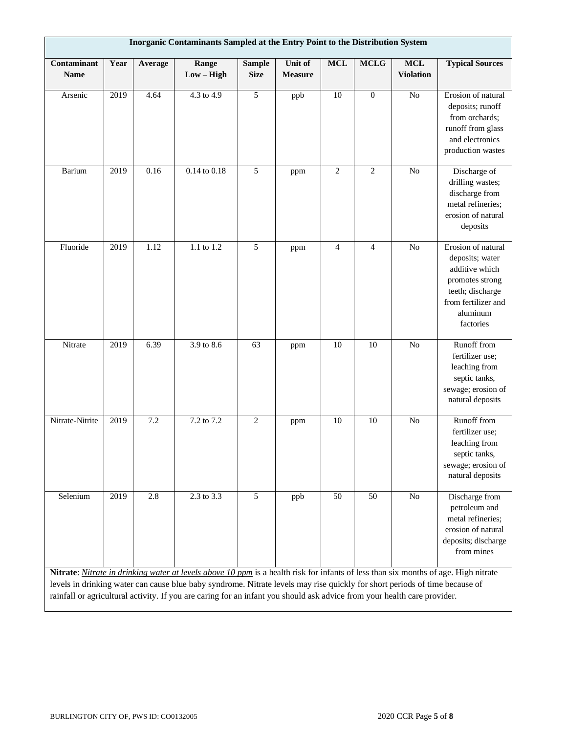| Inorganic Contaminants Sampled at the Entry Point to the Distribution System |      |         |                                                                                                                             |                              |                                  |                |                |                                |                                                                                                                                                |  |  |
|------------------------------------------------------------------------------|------|---------|-----------------------------------------------------------------------------------------------------------------------------|------------------------------|----------------------------------|----------------|----------------|--------------------------------|------------------------------------------------------------------------------------------------------------------------------------------------|--|--|
| Contaminant<br><b>Name</b>                                                   | Year | Average | Range<br>$Low - High$                                                                                                       | <b>Sample</b><br><b>Size</b> | <b>Unit of</b><br><b>Measure</b> | <b>MCL</b>     | <b>MCLG</b>    | <b>MCL</b><br><b>Violation</b> | <b>Typical Sources</b>                                                                                                                         |  |  |
| Arsenic                                                                      | 2019 | 4.64    | 4.3 to 4.9                                                                                                                  | 5                            | ppb                              | 10             | $\mathbf{0}$   | $\overline{No}$                | Erosion of natural<br>deposits; runoff<br>from orchards;<br>runoff from glass<br>and electronics<br>production wastes                          |  |  |
| <b>Barium</b>                                                                | 2019 | 0.16    | 0.14 to 0.18                                                                                                                | 5                            | ppm                              | $\overline{c}$ | $\overline{2}$ | N <sub>o</sub>                 | Discharge of<br>drilling wastes;<br>discharge from<br>metal refineries;<br>erosion of natural<br>deposits                                      |  |  |
| Fluoride                                                                     | 2019 | 1.12    | 1.1 to 1.2                                                                                                                  | 5                            | ppm                              | $\overline{4}$ | 4              | N <sub>o</sub>                 | Erosion of natural<br>deposits; water<br>additive which<br>promotes strong<br>teeth; discharge<br>from fertilizer and<br>aluminum<br>factories |  |  |
| Nitrate                                                                      | 2019 | 6.39    | 3.9 to 8.6                                                                                                                  | 63                           | ppm                              | 10             | 10             | $\overline{No}$                | Runoff from<br>fertilizer use;<br>leaching from<br>septic tanks,<br>sewage; erosion of<br>natural deposits                                     |  |  |
| Nitrate-Nitrite                                                              | 2019 | 7.2     | 7.2 to 7.2                                                                                                                  | $\overline{2}$               | ppm                              | 10             | 10             | No                             | Runoff from<br>fertilizer use;<br>leaching from<br>septic tanks,<br>sewage; erosion of<br>natural deposits                                     |  |  |
| Selenium                                                                     | 2019 | 2.8     | 2.3 to 3.3                                                                                                                  | 5                            | ppb                              | 50             | 50             | No                             | Discharge from<br>petroleum and<br>metal refineries;<br>erosion of natural<br>deposits; discharge<br>from mines                                |  |  |
|                                                                              |      |         | levels in drinking water can cause blue baby syndrome. Nitrate levels may rise quickly for short periods of time because of |                              |                                  |                |                |                                | Nitrate: Nitrate in drinking water at levels above 10 ppm is a health risk for infants of less than six months of age. High nitrate            |  |  |
|                                                                              |      |         | rainfall or agricultural activity. If you are caring for an infant you should ask advice from your health care provider.    |                              |                                  |                |                |                                |                                                                                                                                                |  |  |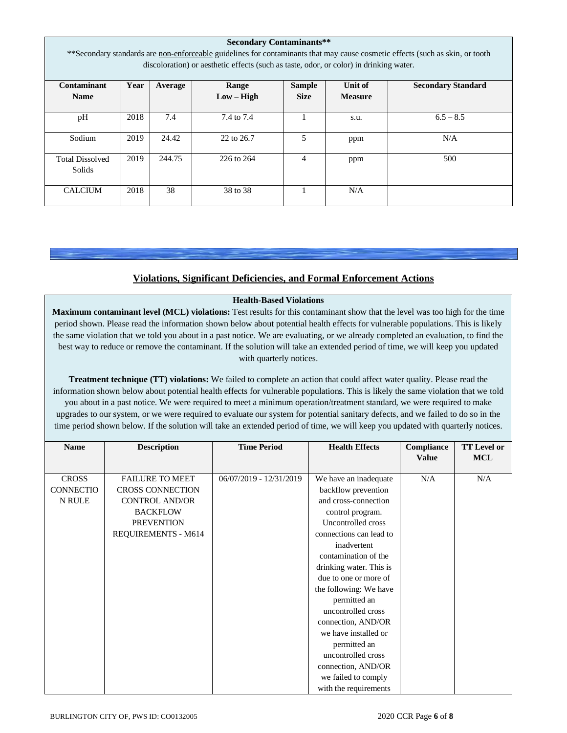| <b>Secondary Contaminants**</b><br>**Secondary standards are non-enforceable guidelines for contaminants that may cause cosmetic effects (such as skin, or tooth<br>discoloration) or aesthetic effects (such as taste, odor, or color) in drinking water. |      |         |                       |                              |                           |                           |  |  |  |  |
|------------------------------------------------------------------------------------------------------------------------------------------------------------------------------------------------------------------------------------------------------------|------|---------|-----------------------|------------------------------|---------------------------|---------------------------|--|--|--|--|
| <b>Contaminant</b><br><b>Name</b>                                                                                                                                                                                                                          | Year | Average | Range<br>$Low - High$ | <b>Sample</b><br><b>Size</b> | Unit of<br><b>Measure</b> | <b>Secondary Standard</b> |  |  |  |  |
| pH                                                                                                                                                                                                                                                         | 2018 | 7.4     | 7.4 to 7.4            |                              | s.u.                      | $6.5 - 8.5$               |  |  |  |  |
| Sodium                                                                                                                                                                                                                                                     | 2019 | 24.42   | 22 to 26.7            | 5                            | ppm                       | N/A                       |  |  |  |  |
| <b>Total Dissolved</b><br>Solids                                                                                                                                                                                                                           | 2019 | 244.75  | 226 to 264            | 4                            | ppm                       | 500                       |  |  |  |  |
| <b>CALCIUM</b>                                                                                                                                                                                                                                             | 2018 | 38      | 38 to 38              |                              | N/A                       |                           |  |  |  |  |

## **Violations, Significant Deficiencies, and Formal Enforcement Actions**

## **Health-Based Violations**

**Maximum contaminant level (MCL) violations:** Test results for this contaminant show that the level was too high for the time period shown. Please read the information shown below about potential health effects for vulnerable populations. This is likely the same violation that we told you about in a past notice. We are evaluating, or we already completed an evaluation, to find the best way to reduce or remove the contaminant. If the solution will take an extended period of time, we will keep you updated with quarterly notices.

**Treatment technique (TT) violations:** We failed to complete an action that could affect water quality. Please read the information shown below about potential health effects for vulnerable populations. This is likely the same violation that we told you about in a past notice. We were required to meet a minimum operation/treatment standard, we were required to make upgrades to our system, or we were required to evaluate our system for potential sanitary defects, and we failed to do so in the time period shown below. If the solution will take an extended period of time, we will keep you updated with quarterly notices.

| <b>Name</b>      | <b>Description</b>      | <b>Time Period</b>      | <b>Health Effects</b>   | Compliance   | <b>TT Level or</b> |
|------------------|-------------------------|-------------------------|-------------------------|--------------|--------------------|
|                  |                         |                         |                         | <b>Value</b> | <b>MCL</b>         |
|                  |                         |                         |                         |              |                    |
| <b>CROSS</b>     | <b>FAILURE TO MEET</b>  | 06/07/2019 - 12/31/2019 | We have an inadequate   | N/A          | N/A                |
| <b>CONNECTIO</b> | <b>CROSS CONNECTION</b> |                         | backflow prevention     |              |                    |
| N RULE           | <b>CONTROL AND/OR</b>   |                         | and cross-connection    |              |                    |
|                  | <b>BACKFLOW</b>         |                         | control program.        |              |                    |
|                  | <b>PREVENTION</b>       |                         | Uncontrolled cross      |              |                    |
|                  | REQUIREMENTS - M614     |                         | connections can lead to |              |                    |
|                  |                         |                         | inadvertent             |              |                    |
|                  |                         |                         | contamination of the    |              |                    |
|                  |                         |                         | drinking water. This is |              |                    |
|                  |                         |                         | due to one or more of   |              |                    |
|                  |                         |                         | the following: We have  |              |                    |
|                  |                         |                         | permitted an            |              |                    |
|                  |                         |                         | uncontrolled cross      |              |                    |
|                  |                         |                         | connection, AND/OR      |              |                    |
|                  |                         |                         | we have installed or    |              |                    |
|                  |                         |                         | permitted an            |              |                    |
|                  |                         |                         | uncontrolled cross      |              |                    |
|                  |                         |                         | connection, AND/OR      |              |                    |
|                  |                         |                         | we failed to comply     |              |                    |
|                  |                         |                         | with the requirements   |              |                    |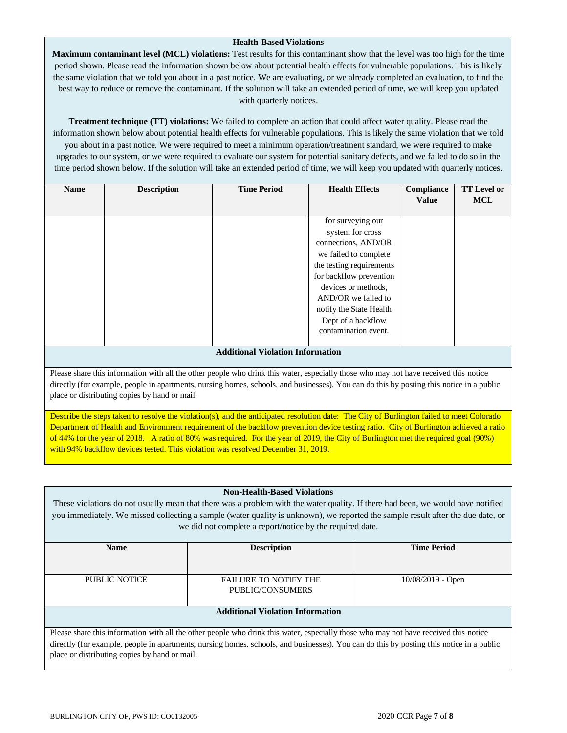## **Health-Based Violations**

**Maximum contaminant level (MCL) violations:** Test results for this contaminant show that the level was too high for the time period shown. Please read the information shown below about potential health effects for vulnerable populations. This is likely the same violation that we told you about in a past notice. We are evaluating, or we already completed an evaluation, to find the best way to reduce or remove the contaminant. If the solution will take an extended period of time, we will keep you updated with quarterly notices.

**Treatment technique (TT) violations:** We failed to complete an action that could affect water quality. Please read the information shown below about potential health effects for vulnerable populations. This is likely the same violation that we told you about in a past notice. We were required to meet a minimum operation/treatment standard, we were required to make upgrades to our system, or we were required to evaluate our system for potential sanitary defects, and we failed to do so in the time period shown below. If the solution will take an extended period of time, we will keep you updated with quarterly notices.

| <b>Name</b> | <b>Description</b> | <b>Time Period</b>               | <b>Health Effects</b>    | Compliance   | <b>TT</b> Level or |
|-------------|--------------------|----------------------------------|--------------------------|--------------|--------------------|
|             |                    |                                  |                          | <b>Value</b> | <b>MCL</b>         |
|             |                    |                                  |                          |              |                    |
|             |                    |                                  | for surveying our        |              |                    |
|             |                    |                                  | system for cross         |              |                    |
|             |                    |                                  | connections, AND/OR      |              |                    |
|             |                    |                                  | we failed to complete    |              |                    |
|             |                    |                                  | the testing requirements |              |                    |
|             |                    |                                  | for backflow prevention  |              |                    |
|             |                    |                                  | devices or methods,      |              |                    |
|             |                    |                                  | AND/OR we failed to      |              |                    |
|             |                    |                                  | notify the State Health  |              |                    |
|             |                    |                                  | Dept of a backflow       |              |                    |
|             |                    |                                  | contamination event.     |              |                    |
|             |                    |                                  |                          |              |                    |
|             |                    | Additional Violation Information |                          |              |                    |

#### **Additional Violation Information**

Please share this information with all the other people who drink this water, especially those who may not have received this notice directly (for example, people in apartments, nursing homes, schools, and businesses). You can do this by posting this notice in a public place or distributing copies by hand or mail.

Describe the steps taken to resolve the violation(s), and the anticipated resolution date: The City of Burlington failed to meet Colorado Department of Health and Environment requirement of the backflow prevention device testing ratio. City of Burlington achieved a ratio of 44% for the year of 2018. A ratio of 80% was required. For the year of 2019, the City of Burlington met the required goal (90%) with 94% backflow devices tested. This violation was resolved December 31, 2019.

## **Non-Health-Based Violations** These violations do not usually mean that there was a problem with the water quality. If there had been, we would have notified you immediately. We missed collecting a sample (water quality is unknown), we reported the sample result after the due date, or we did not complete a report/notice by the required date. **Name Description Description Time Period** PUBLIC NOTICE FAILURE TO NOTIFY THE PUBLIC/CONSUMERS 10/08/2019 - Open

## **Additional Violation Information**

Please share this information with all the other people who drink this water, especially those who may not have received this notice directly (for example, people in apartments, nursing homes, schools, and businesses). You can do this by posting this notice in a public place or distributing copies by hand or mail.